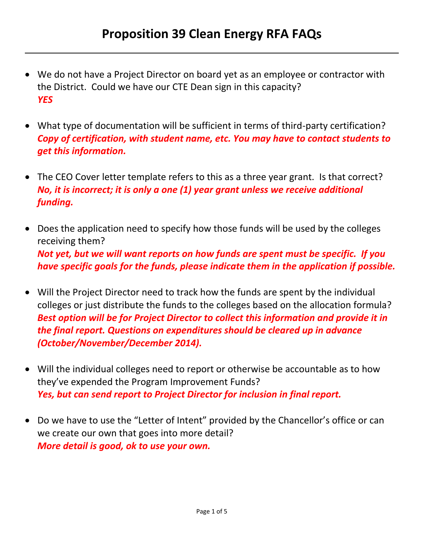- We do not have a Project Director on board yet as an employee or contractor with the District. Could we have our CTE Dean sign in this capacity? *YES*
- What type of documentation will be sufficient in terms of third-party certification? *Copy of certification, with student name, etc. You may have to contact students to get this information.*
- The CEO Cover letter template refers to this as a three year grant. Is that correct? *No, it is incorrect; it is only a one (1) year grant unless we receive additional funding.*
- Does the application need to specify how those funds will be used by the colleges receiving them? *Not yet, but we will want reports on how funds are spent must be specific. If you have specific goals for the funds, please indicate them in the application if possible.*
- Will the Project Director need to track how the funds are spent by the individual colleges or just distribute the funds to the colleges based on the allocation formula? *Best option will be for Project Director to collect this information and provide it in the final report. Questions on expenditures should be cleared up in advance (October/November/December 2014).*
- Will the individual colleges need to report or otherwise be accountable as to how they've expended the Program Improvement Funds? *Yes, but can send report to Project Director for inclusion in final report.*
- Do we have to use the "Letter of Intent" provided by the Chancellor's office or can we create our own that goes into more detail? *More detail is good, ok to use your own.*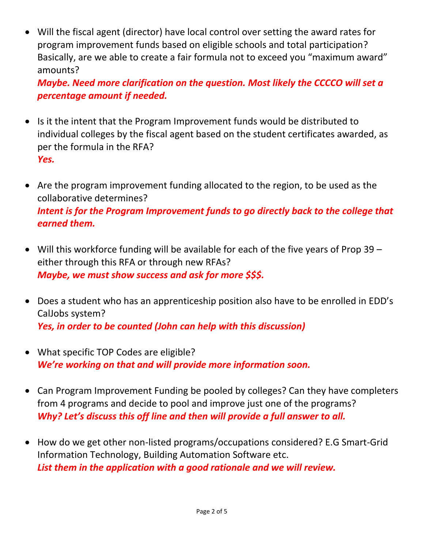Will the fiscal agent (director) have local control over setting the award rates for program improvement funds based on eligible schools and total participation? Basically, are we able to create a fair formula not to exceed you "maximum award" amounts?

*Maybe. Need more clarification on the question. Most likely the CCCCO will set a percentage amount if needed.*

- Is it the intent that the Program Improvement funds would be distributed to individual colleges by the fiscal agent based on the student certificates awarded, as per the formula in the RFA? *Yes.*
- Are the program improvement funding allocated to the region, to be used as the collaborative determines? *Intent is for the Program Improvement funds to go directly back to the college that earned them.*
- Will this workforce funding will be available for each of the five years of Prop 39 either through this RFA or through new RFAs? *Maybe, we must show success and ask for more \$\$\$.*
- Does a student who has an apprenticeship position also have to be enrolled in EDD's CalJobs system? *Yes, in order to be counted (John can help with this discussion)*
- What specific TOP Codes are eligible? *We're working on that and will provide more information soon.*
- Can Program Improvement Funding be pooled by colleges? Can they have completers from 4 programs and decide to pool and improve just one of the programs? *Why? Let's discuss this off line and then will provide a full answer to all.*
- How do we get other non-listed programs/occupations considered? E.G Smart-Grid Information Technology, Building Automation Software etc. *List them in the application with a good rationale and we will review.*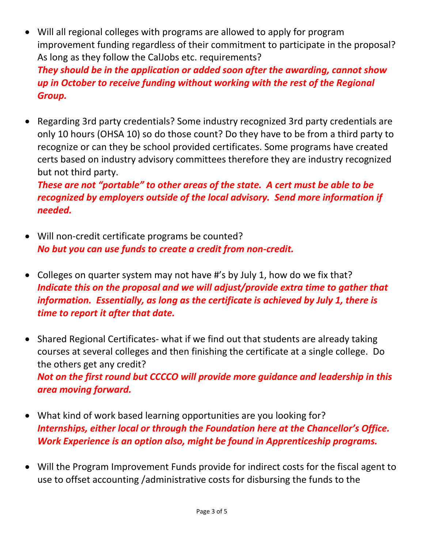- Will all regional colleges with programs are allowed to apply for program improvement funding regardless of their commitment to participate in the proposal? As long as they follow the CalJobs etc. requirements? *They should be in the application or added soon after the awarding, cannot show up in October to receive funding without working with the rest of the Regional Group.*
- Regarding 3rd party credentials? Some industry recognized 3rd party credentials are only 10 hours (OHSA 10) so do those count? Do they have to be from a third party to recognize or can they be school provided certificates. Some programs have created certs based on industry advisory committees therefore they are industry recognized but not third party.

*These are not "portable" to other areas of the state. A cert must be able to be recognized by employers outside of the local advisory. Send more information if needed.*

- Will non-credit certificate programs be counted? *No but you can use funds to create a credit from non-credit.*
- Colleges on quarter system may not have #'s by July 1, how do we fix that? *Indicate this on the proposal and we will adjust/provide extra time to gather that information. Essentially, as long as the certificate is achieved by July 1, there is time to report it after that date.*
- Shared Regional Certificates- what if we find out that students are already taking courses at several colleges and then finishing the certificate at a single college. Do the others get any credit? *Not on the first round but CCCCO will provide more guidance and leadership in this area moving forward.*
- What kind of work based learning opportunities are you looking for? *Internships, either local or through the Foundation here at the Chancellor's Office. Work Experience is an option also, might be found in Apprenticeship programs.*
- Will the Program Improvement Funds provide for indirect costs for the fiscal agent to use to offset accounting /administrative costs for disbursing the funds to the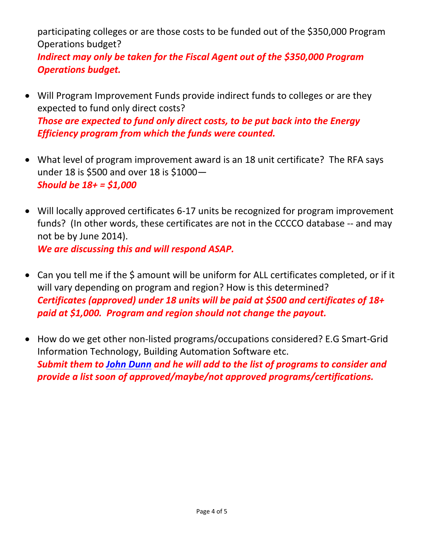participating colleges or are those costs to be funded out of the \$350,000 Program Operations budget?

*Indirect may only be taken for the Fiscal Agent out of the \$350,000 Program Operations budget.*

- Will Program Improvement Funds provide indirect funds to colleges or are they expected to fund only direct costs? *Those are expected to fund only direct costs, to be put back into the Energy Efficiency program from which the funds were counted.*
- What level of program improvement award is an 18 unit certificate? The RFA says under 18 is \$500 and over 18 is \$1000— *Should be 18+ = \$1,000*
- Will locally approved certificates 6-17 units be recognized for program improvement funds? (In other words, these certificates are not in the CCCCO database -- and may not be by June 2014). *We are discussing this and will respond ASAP.*
- Can you tell me if the \$ amount will be uniform for ALL certificates completed, or if it will vary depending on program and region? How is this determined? *Certificates (approved) under 18 units will be paid at \$500 and certificates of 18+ paid at \$1,000. Program and region should not change the payout.*
- How do we get other non-listed programs/occupations considered? E.G Smart-Grid Information Technology, Building Automation Software etc. *Submit them to [John Dunn](mailto:jdunn@cccco.edu) and he will add to the list of programs to consider and provide a list soon of approved/maybe/not approved programs/certifications.*